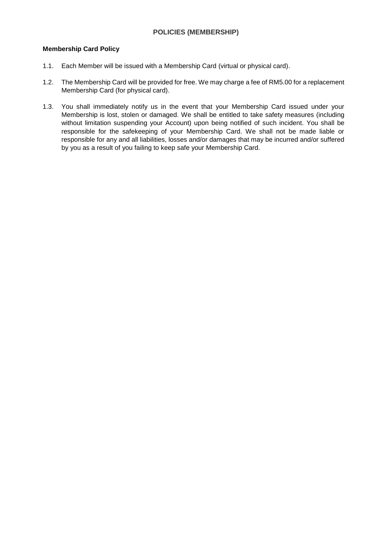# **POLICIES (MEMBERSHIP)**

#### **Membership Card Policy**

- 1.1. Each Member will be issued with a Membership Card (virtual or physical card).
- 1.2. The Membership Card will be provided for free. We may charge a fee of RM5.00 for a replacement Membership Card (for physical card).
- 1.3. You shall immediately notify us in the event that your Membership Card issued under your Membership is lost, stolen or damaged. We shall be entitled to take safety measures (including without limitation suspending your Account) upon being notified of such incident. You shall be responsible for the safekeeping of your Membership Card. We shall not be made liable or responsible for any and all liabilities, losses and/or damages that may be incurred and/or suffered by you as a result of you failing to keep safe your Membership Card.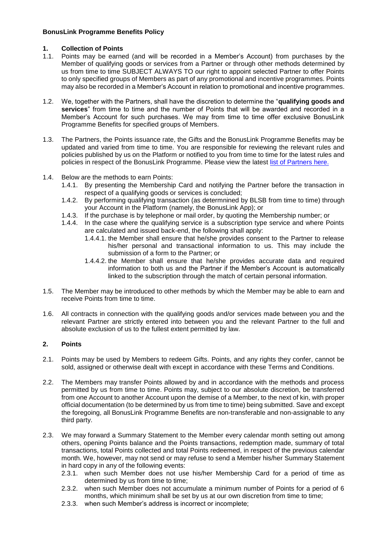## **BonusLink Programme Benefits Policy**

## **1. Collection of Points**

- 1.1. Points may be earned (and will be recorded in a Member's Account) from purchases by the Member of qualifying goods or services from a Partner or through other methods determined by us from time to time SUBJECT ALWAYS TO our right to appoint selected Partner to offer Points to only specified groups of Members as part of any promotional and incentive programmes. Points may also be recorded in a Member's Account in relation to promotional and incentive programmes.
- 1.2. We, together with the Partners, shall have the discretion to determine the "**qualifying goods and services**" from time to time and the number of Points that will be awarded and recorded in a Member's Account for such purchases. We may from time to time offer exclusive BonusLink Programme Benefits for specified groups of Members.
- 1.3. The Partners, the Points issuance rate, the Gifts and the BonusLink Programme Benefits may be updated and varied from time to time. You are responsible for reviewing the relevant rules and policies published by us on the Platform or notified to you from time to time for the latest rules and policies in respect of the BonusLink Programme. Please view the latest [list of Partners](https://www.bonuslink.com.my/EN/Partners.aspx) here.
- 1.4. Below are the methods to earn Points:
	- 1.4.1. By presenting the Membership Card and notifying the Partner before the transaction in respect of a qualifying goods or services is concluded;
	- 1.4.2. By performing qualifying transaction (as determnined by BLSB from time to time) through your Account in the Platform (namely, the BonusLink App); or
	- 1.4.3. If the purchase is by telephone or mail order, by quoting the Membership number; or
	- 1.4.4. In the case where the qualifying service is a subscription type service and where Points are calculated and issued back-end, the following shall apply:
		- 1.4.4.1. the Member shall ensure that he/she provides consent to the Partner to release his/her personal and transactional information to us. This may include the submission of a form to the Partner; or
		- 1.4.4.2. the Member shall ensure that he/she provides accurate data and required information to both us and the Partner if the Member's Account is automatically linked to the subscription through the match of certain personal information.
- 1.5. The Member may be introduced to other methods by which the Member may be able to earn and receive Points from time to time.
- 1.6. All contracts in connection with the qualifying goods and/or services made between you and the relevant Partner are strictly entered into between you and the relevant Partner to the full and absolute exclusion of us to the fullest extent permitted by law.

## **2. Points**

- 2.1. Points may be used by Members to redeem Gifts. Points, and any rights they confer, cannot be sold, assigned or otherwise dealt with except in accordance with these Terms and Conditions.
- 2.2. The Members may transfer Points allowed by and in accordance with the methods and process permitted by us from time to time. Points may, subject to our absolute discretion, be transferred from one Account to another Account upon the demise of a Member, to the next of kin, with proper official documentation (to be determined by us from time to time) being submitted. Save and except the foregoing, all BonusLink Programme Benefits are non-transferable and non-assignable to any third party.
- 2.3. We may forward a Summary Statement to the Member every calendar month setting out among others, opening Points balance and the Points transactions, redemption made, summary of total transactions, total Points collected and total Points redeemed, in respect of the previous calendar month. We, however, may not send or may refuse to send a Member his/her Summary Statement in hard copy in any of the following events:
	- 2.3.1. when such Member does not use his/her Membership Card for a period of time as determined by us from time to time;
	- 2.3.2. when such Member does not accumulate a minimum number of Points for a period of 6 months, which minimum shall be set by us at our own discretion from time to time;
	- 2.3.3. when such Member's address is incorrect or incomplete;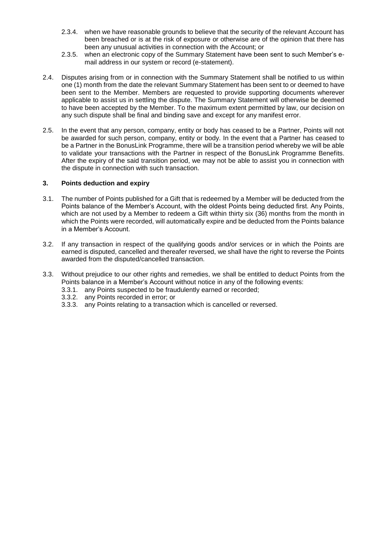- 2.3.4. when we have reasonable grounds to believe that the security of the relevant Account has been breached or is at the risk of exposure or otherwise are of the opinion that there has been any unusual activities in connection with the Account; or
- 2.3.5. when an electronic copy of the Summary Statement have been sent to such Member's email address in our system or record (e-statement).
- 2.4. Disputes arising from or in connection with the Summary Statement shall be notified to us within one (1) month from the date the relevant Summary Statement has been sent to or deemed to have been sent to the Member. Members are requested to provide supporting documents wherever applicable to assist us in settling the dispute. The Summary Statement will otherwise be deemed to have been accepted by the Member. To the maximum extent permitted by law, our decision on any such dispute shall be final and binding save and except for any manifest error.
- 2.5. In the event that any person, company, entity or body has ceased to be a Partner, Points will not be awarded for such person, company, entity or body. In the event that a Partner has ceased to be a Partner in the BonusLink Programme, there will be a transition period whereby we will be able to validate your transactions with the Partner in respect of the BonusLink Programme Benefits. After the expiry of the said transition period, we may not be able to assist you in connection with the dispute in connection with such transaction.

## **3. Points deduction and expiry**

- 3.1. The number of Points published for a Gift that is redeemed by a Member will be deducted from the Points balance of the Member's Account, with the oldest Points being deducted first. Any Points, which are not used by a Member to redeem a Gift within thirty six (36) months from the month in which the Points were recorded, will automatically expire and be deducted from the Points balance in a Member's Account.
- 3.2. If any transaction in respect of the qualifying goods and/or services or in which the Points are earned is disputed, cancelled and thereafer reversed, we shall have the right to reverse the Points awarded from the disputed/cancelled transaction.
- 3.3. Without prejudice to our other rights and remedies, we shall be entitled to deduct Points from the Points balance in a Member's Account without notice in any of the following events:
	- 3.3.1. any Points suspected to be fraudulently earned or recorded;
	- 3.3.2. any Points recorded in error; or
	- 3.3.3. any Points relating to a transaction which is cancelled or reversed.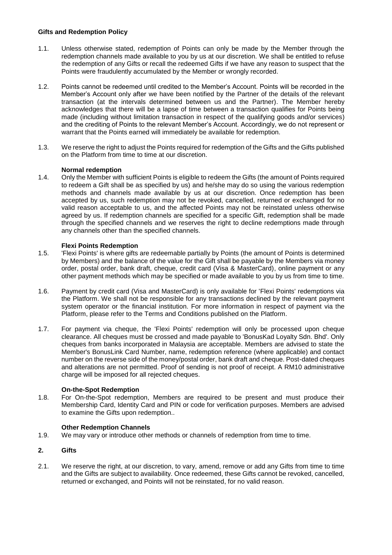## **Gifts and Redemption Policy**

- 1.1. Unless otherwise stated, redemption of Points can only be made by the Member through the redemption channels made available to you by us at our discretion. We shall be entitled to refuse the redemption of any Gifts or recall the redeemed Gifts if we have any reason to suspect that the Points were fraudulently accumulated by the Member or wrongly recorded.
- 1.2. Points cannot be redeemed until credited to the Member's Account. Points will be recorded in the Member's Account only after we have been notified by the Partner of the details of the relevant transaction (at the intervals determined between us and the Partner). The Member hereby acknowledges that there will be a lapse of time between a transaction qualifies for Points being made (including without limitation transaction in respect of the qualifying goods and/or services) and the crediting of Points to the relevant Member's Account. Accordingly, we do not represent or warrant that the Points earned will immediately be available for redemption.
- 1.3. We reserve the right to adjust the Points required for redemption of the Gifts and the Gifts published on the Platform from time to time at our discretion.

#### **Normal redemption**

1.4. Only the Member with sufficient Points is eligible to redeem the Gifts (the amount of Points required to redeem a Gift shall be as specified by us) and he/she may do so using the various redemption methods and channels made available by us at our discretion. Once redemption has been accepted by us, such redemption may not be revoked, cancelled, returned or exchanged for no valid reason acceptable to us, and the affected Points may not be reinstated unless otherwise agreed by us. If redemption channels are specified for a specific Gift, redemption shall be made through the specified channels and we reserves the right to decline redemptions made through any channels other than the specified channels.

#### **Flexi Points Redemption**

- 1.5. 'Flexi Points' is where gifts are redeemable partially by Points (the amount of Points is determined by Members) and the balance of the value for the Gift shall be payable by the Members via money order, postal order, bank draft, cheque, credit card (Visa & MasterCard), online payment or any other payment methods which may be specified or made available to you by us from time to time.
- 1.6. Payment by credit card (Visa and MasterCard) is only available for 'Flexi Points' redemptions via the Platform. We shall not be responsible for any transactions declined by the relevant payment system operator or the financial institution. For more information in respect of payment via the Platform, please refer to the Terms and Conditions published on the Platform.
- 1.7. For payment via cheque, the 'Flexi Points' redemption will only be processed upon cheque clearance. All cheques must be crossed and made payable to 'BonusKad Loyalty Sdn. Bhd'. Only cheques from banks incorporated in Malaysia are acceptable. Members are advised to state the Member's BonusLink Card Number, name, redemption reference (where applicable) and contact number on the reverse side of the money/postal order, bank draft and cheque. Post-dated cheques and alterations are not permitted. Proof of sending is not proof of receipt. A RM10 administrative charge will be imposed for all rejected cheques.

#### **On-the-Spot Redemption**

1.8. For On-the-Spot redemption, Members are required to be present and must produce their Membership Card, Identity Card and PIN or code for verification purposes. Members are advised to examine the Gifts upon redemption..

#### **Other Redemption Channels**

1.9. We may vary or introduce other methods or channels of redemption from time to time.

## **2. Gifts**

2.1. We reserve the right, at our discretion, to vary, amend, remove or add any Gifts from time to time and the Gifts are subject to availability. Once redeemed, these Gifts cannot be revoked, cancelled, returned or exchanged, and Points will not be reinstated, for no valid reason.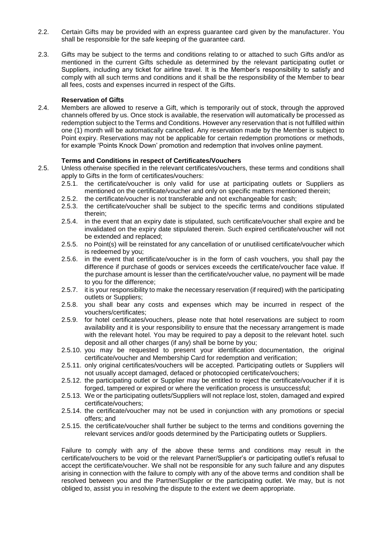- 2.2. Certain Gifts may be provided with an express guarantee card given by the manufacturer. You shall be responsible for the safe keeping of the guarantee card.
- 2.3. Gifts may be subject to the terms and conditions relating to or attached to such Gifts and/or as mentioned in the current Gifts schedule as determined by the relevant participating outlet or Suppliers, including any ticket for airline travel. It is the Member's responsibility to satisfy and comply with all such terms and conditions and it shall be the responsibility of the Member to bear all fees, costs and expenses incurred in respect of the Gifts.

#### **Reservation of Gifts**

2.4. Members are allowed to reserve a Gift, which is temporarily out of stock, through the approved channels offered by us. Once stock is available, the reservation will automatically be processed as redemption subject to the Terms and Conditions. However any reservation that is not fulfilled within one (1) month will be automatically cancelled. Any reservation made by the Member is subject to Point expiry. Reservations may not be applicable for certain redemption promotions or methods, for example 'Points Knock Down' promotion and redemption that involves online payment.

#### **Terms and Conditions in respect of Certificates/Vouchers**

- 2.5. Unless otherwise specified in the relevant certificates/vouchers, these terms and conditions shall apply to Gifts in the form of certificates/vouchers:
	- 2.5.1. the certificate/voucher is only valid for use at participating outlets or Suppliers as mentioned on the certificate/voucher and only on specific matters mentioned therein;
	- 2.5.2. the certificate/voucher is not transferable and not exchangeable for cash;
	- 2.5.3. the certificate/voucher shall be subject to the specific terms and conditions stipulated therein;
	- 2.5.4. in the event that an expiry date is stipulated, such certificate/voucher shall expire and be invalidated on the expiry date stipulated therein. Such expired certificate/voucher will not be extended and replaced;
	- 2.5.5. no Point(s) will be reinstated for any cancellation of or unutilised certificate/voucher which is redeemed by you;
	- 2.5.6. in the event that certificate/voucher is in the form of cash vouchers, you shall pay the difference if purchase of goods or services exceeds the certificate/voucher face value. If the purchase amount is lesser than the certificate/voucher value, no payment will be made to you for the difference;
	- 2.5.7. it is your responsibility to make the necessary reservation (if required) with the participating outlets or Suppliers;
	- 2.5.8. you shall bear any costs and expenses which may be incurred in respect of the vouchers/certificates;
	- 2.5.9. for hotel certificates/vouchers, please note that hotel reservations are subject to room availability and it is your responsibility to ensure that the necessary arrangement is made with the relevant hotel. You may be required to pay a deposit to the relevant hotel. such deposit and all other charges (if any) shall be borne by you;
	- 2.5.10. you may be requested to present your identification documentation, the original certificate/voucher and Membership Card for redemption and verification;
	- 2.5.11. only original certificates/vouchers will be accepted. Participating outlets or Suppliers will not usually accept damaged, defaced or photocopied certificate/vouchers;
	- 2.5.12. the participating outlet or Supplier may be entitled to reject the certificate/voucher if it is forged, tampered or expired or where the verification process is unsuccessful;
	- 2.5.13. We or the participating outlets/Suppliers will not replace lost, stolen, damaged and expired certificate/vouchers;
	- 2.5.14. the certificate/voucher may not be used in conjunction with any promotions or special offers; and
	- 2.5.15. the certificate/voucher shall further be subject to the terms and conditions governing the relevant services and/or goods determined by the Participating outlets or Suppliers.

Failure to comply with any of the above these terms and conditions may result in the certificate/vouchers to be void or the relevant Parner/Supplier's or participating outlet's refusal to accept the certificate/voucher. We shall not be responsible for any such failure and any disputes arising in connection with the failure to comply with any of the above terms and condition shall be resolved between you and the Partner/Supplier or the participating outlet. We may, but is not obliged to, assist you in resolving the dispute to the extent we deem appropriate.